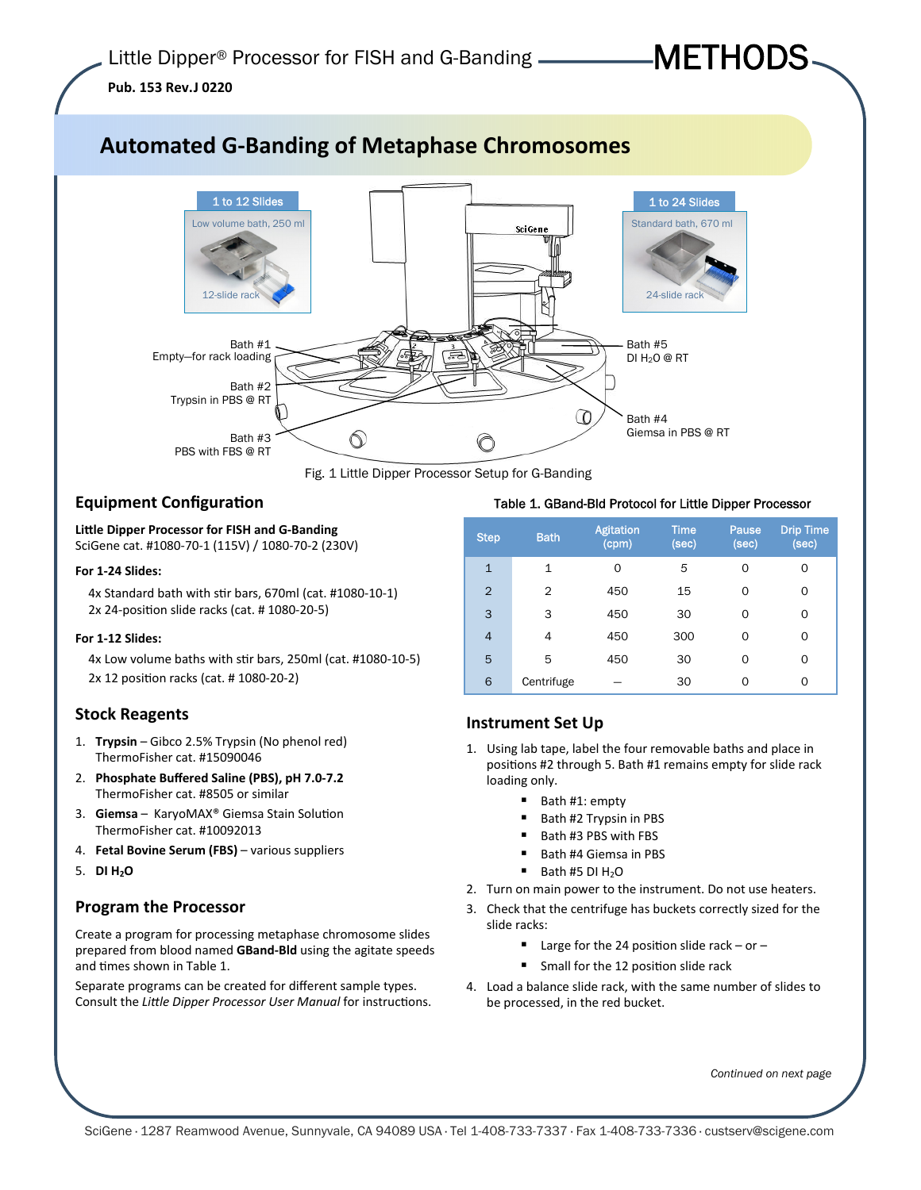# METHODS

**Pub. 153 Rev.J 0220** 

# **Automated G-Banding of Metaphase Chromosomes**



Fig. 1 Little Dipper Processor Setup for G-Banding

# **Equipment Configuration**

**LiƩle Dipper Processor for FISH and G-Banding** SciGene cat. #1080-70-1 (115V) / 1080-70-2 (230V)

#### **For 1-24 Slides:**

4x Standard bath with stir bars, 670ml (cat. #1080-10-1) 2x 24-position slide racks (cat. # 1080-20-5)

#### **For 1-12 Slides:**

4x Low volume baths with stir bars, 250ml (cat. #1080-10-5) 2x 12 position racks (cat. # 1080-20-2)

## **Stock Reagents**

- 1. **Trypsin** Gibco 2.5% Trypsin (No phenol red) ThermoFisher cat. #15090046
- 2. **Phosphate Buffered Saline (PBS), pH 7.0-7.2**  ThermoFisher cat. #8505 or similar
- 3. **Giemsa** KaryoMAX<sup>®</sup> Giemsa Stain Solution ThermoFisher cat. #10092013
- 4. **Fetal Bovine Serum (FBS)**  various suppliers
- 5. **DI H2O**

## **Program the Processor**

Create a program for processing metaphase chromosome slides prepared from blood named **GBand-Bld** using the agitate speeds and times shown in Table 1.

Separate programs can be created for different sample types. Consult the *Little Dipper Processor User Manual* for instructions.

#### Table 1. GBand-Bld Protocol for Little Dipper Processor

| <b>Step</b>    | <b>Bath</b>  | <b>Agitation</b><br>(cpm) | <b>Time</b><br>(sec) | Pause<br>(sec) | <b>Drip Time</b><br>(sec) |
|----------------|--------------|---------------------------|----------------------|----------------|---------------------------|
| $\mathbf{1}$   | $\mathbf{1}$ | $\Omega$                  | 5                    | 0              | 0                         |
| $\overline{2}$ | 2            | 450                       | 15                   | 0              | 0                         |
| 3              | 3            | 450                       | 30                   | 0              | 0                         |
| $\overline{4}$ | 4            | 450                       | 300                  | 0              | 0                         |
| 5              | 5            | 450                       | 30                   | 0              | 0                         |
| 6              | Centrifuge   |                           | 30                   | 0              | 0                         |

# **Instrument Set Up**

- 1. Using lab tape, label the four removable baths and place in positions #2 through 5. Bath #1 remains empty for slide rack loading only.
	- Bath #1: empty
	- Bath #2 Trypsin in PBS
	- Bath #3 PBS with FBS
	- Bath #4 Giemsa in PBS
	- $\blacksquare$  Bath #5 DI H<sub>2</sub>O
- 2. Turn on main power to the instrument. Do not use heaters.
- 3. Check that the centrifuge has buckets correctly sized for the slide racks:
	- Large for the 24 position slide rack or –
	- Small for the 12 position slide rack
- 4. Load a balance slide rack, with the same number of slides to be processed, in the red bucket.

*Continued on next page*